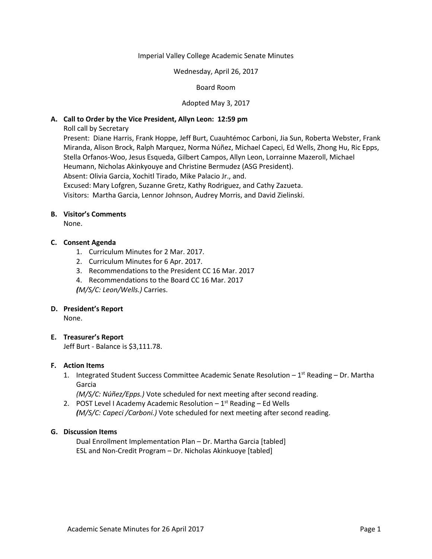### Imperial Valley College Academic Senate Minutes

#### Wednesday, April 26, 2017

## Board Room

## Adopted May 3, 2017

## **A. Call to Order by the Vice President, Allyn Leon: 12:59 pm**

Roll call by Secretary

Present: Diane Harris, Frank Hoppe, Jeff Burt, Cuauhtémoc Carboni, Jia Sun, Roberta Webster, Frank Miranda, Alison Brock, Ralph Marquez, Norma Núñez, Michael Capeci, Ed Wells, Zhong Hu, Ric Epps, Stella Orfanos-Woo, Jesus Esqueda, Gilbert Campos, Allyn Leon, Lorrainne Mazeroll, Michael Heumann, Nicholas Akinkyouye and Christine Bermudez (ASG President).

Absent: Olivia Garcia, Xochitl Tirado, Mike Palacio Jr., and.

Excused: Mary Lofgren, Suzanne Gretz, Kathy Rodriguez, and Cathy Zazueta.

Visitors: Martha Garcia, Lennor Johnson, Audrey Morris, and David Zielinski.

# **B. Visitor's Comments**

None.

## **C. Consent Agenda**

- 1. Curriculum Minutes for 2 Mar. 2017.
- 2. Curriculum Minutes for 6 Apr. 2017.
- 3. Recommendations to the President CC 16 Mar. 2017
- 4. Recommendations to the Board CC 16 Mar. 2017

*(M/S/C: Leon/Wells.)* Carries.

#### **D. President's Report**

None.

## **E. Treasurer's Report**

Jeff Burt - Balance is \$3,111.78.

#### **F. Action Items**

1. Integrated Student Success Committee Academic Senate Resolution - 1<sup>st</sup> Reading - Dr. Martha Garcia

*(M/S/C: Núñez/Epps.)* Vote scheduled for next meeting after second reading.

2. POST Level I Academy Academic Resolution  $-1^{st}$  Reading  $-$  Ed Wells *(M/S/C: Capeci /Carboni.)* Vote scheduled for next meeting after second reading.

## **G. Discussion Items**

Dual Enrollment Implementation Plan – Dr. Martha Garcia [tabled] ESL and Non-Credit Program – Dr. Nicholas Akinkuoye [tabled]